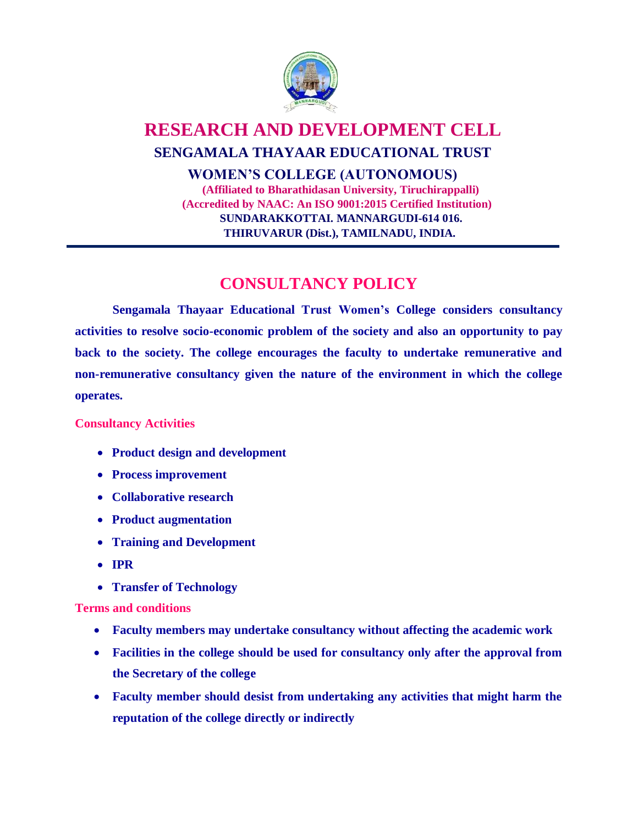

## **RESEARCH AND DEVELOPMENT CELL SENGAMALA THAYAAR EDUCATIONAL TRUST WOMEN'S COLLEGE (AUTONOMOUS) (Affiliated to Bharathidasan University, Tiruchirappalli) (Accredited by NAAC: An ISO 9001:2015 Certified Institution) SUNDARAKKOTTAI. MANNARGUDI-614 016. THIRUVARUR (Dist.), TAMILNADU, INDIA.**

# **CONSULTANCY POLICY**

**Sengamala Thayaar Educational Trust Women's College considers consultancy activities to resolve socio-economic problem of the society and also an opportunity to pay back to the society. The college encourages the faculty to undertake remunerative and non-remunerative consultancy given the nature of the environment in which the college operates.**

### **Consultancy Activities**

- **Product design and development**
- **Process improvement**
- **Collaborative research**
- **Product augmentation**
- **Training and Development**
- **IPR**
- **Transfer of Technology**

### **Terms and conditions**

- **Faculty members may undertake consultancy without affecting the academic work**
- **Facilities in the college should be used for consultancy only after the approval from the Secretary of the college**
- **Faculty member should desist from undertaking any activities that might harm the reputation of the college directly or indirectly**